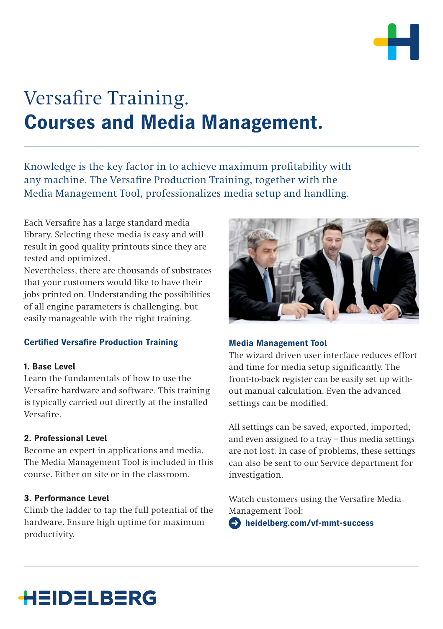

# Versafire Training. **Courses and Media Management.**

Knowledge is the key factor in to achieve maximum profitability with any machine. The Versafire Production Training, together with the Media Management Tool, professionalizes media setup and handling.

Each Versafire has a large standard media library. Selecting these media is easy and will result in good quality printouts since they are tested and optimized.

Nevertheless, there are thousands of substrates that your customers would like to have their jobs printed on. Understanding the possibilities of all engine parameters is challenging, but easily manageable with the right training.

### **Certified Versafire Production Training**

#### **1. Base Level**

Learn the fundamentals of how to use the Versafire hardware and software. This training is typically carried out directly at the installed Versafire.

### **2. Professional Level**

Become an expert in applications and media. The Media Management Tool is included in this course. Either on site or in the classroom.

#### **3. Performance Level**

Climb the ladder to tap the full potential of the hardware. Ensure high uptime for maximum productivity.



#### **Media Management Tool**

The wizard driven user interface reduces effort and time for media setup significantly. The front-to-back register can be easily set up without manual calculation. Even the advanced settings can be modified.

All settings can be saved, exported, imported, and even assigned to a tray – thus media settings are not lost. In case of problems, these settings can also be sent to our Service department for investigation.

Watch customers using the Versafire Media Management Tool:

 $\bullet$  heidelberg.com/vf-mmt-success